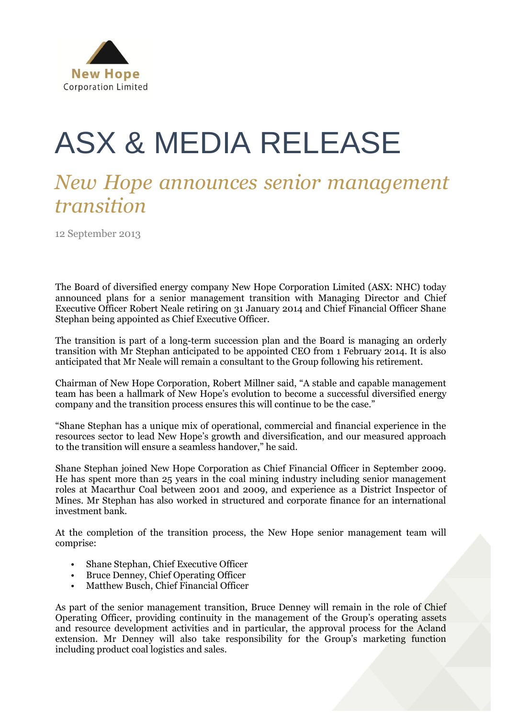

## ASX & MEDIA RELEASE

## *New Hope announces senior management transition*

12 September 2013

The Board of diversified energy company New Hope Corporation Limited (ASX: NHC) today announced plans for a senior management transition with Managing Director and Chief Executive Officer Robert Neale retiring on 31 January 2014 and Chief Financial Officer Shane Stephan being appointed as Chief Executive Officer.

The transition is part of a long-term succession plan and the Board is managing an orderly transition with Mr Stephan anticipated to be appointed CEO from 1 February 2014. It is also anticipated that Mr Neale will remain a consultant to the Group following his retirement.

Chairman of New Hope Corporation, Robert Millner said, "A stable and capable management team has been a hallmark of New Hope's evolution to become a successful diversified energy company and the transition process ensures this will continue to be the case."

"Shane Stephan has a unique mix of operational, commercial and financial experience in the resources sector to lead New Hope's growth and diversification, and our measured approach to the transition will ensure a seamless handover," he said.

Shane Stephan joined New Hope Corporation as Chief Financial Officer in September 2009. He has spent more than 25 years in the coal mining industry including senior management roles at Macarthur Coal between 2001 and 2009, and experience as a District Inspector of Mines. Mr Stephan has also worked in structured and corporate finance for an international investment bank.

At the completion of the transition process, the New Hope senior management team will comprise:

- Shane Stephan, Chief Executive Officer
- Bruce Denney, Chief Operating Officer
- Matthew Busch, Chief Financial Officer

As part of the senior management transition, Bruce Denney will remain in the role of Chief Operating Officer, providing continuity in the management of the Group's operating assets and resource development activities and in particular, the approval process for the Acland extension. Mr Denney will also take responsibility for the Group's marketing function including product coal logistics and sales.